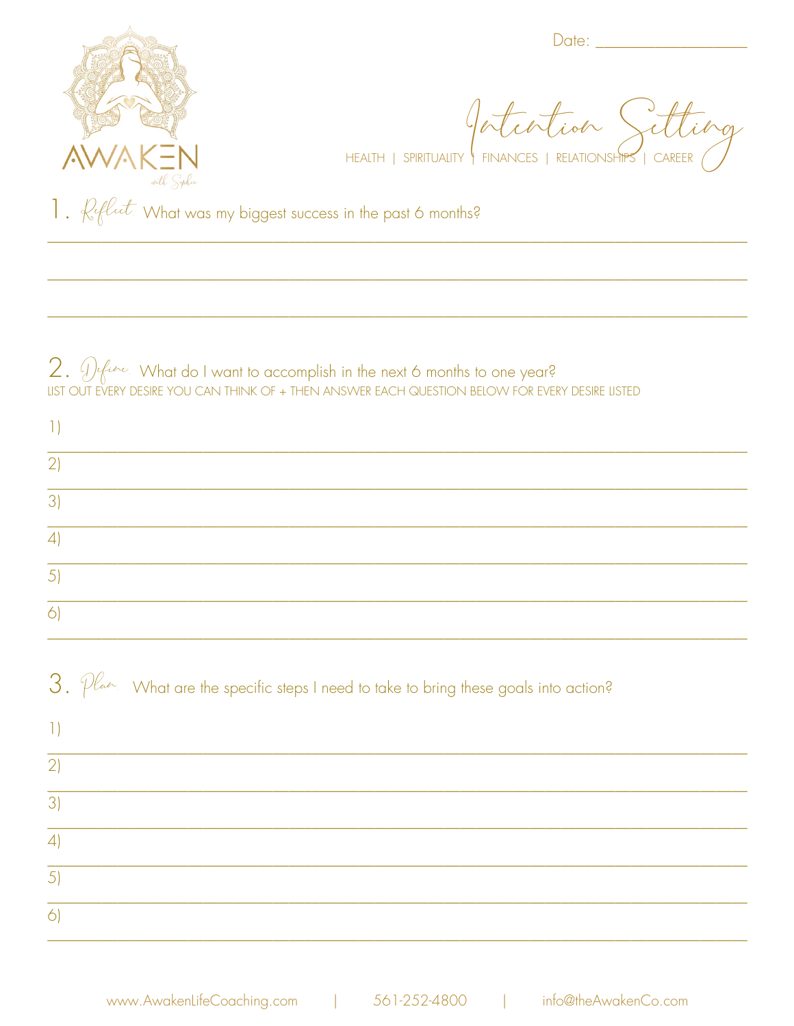

 $Date:$   $\_\_$ 

HEALTH | SPIRITUALITY | FINANCES | RELATIONSHIPS | CAREER

1.  $\mathcal{L}$  flut. What was my biggest success in the past 6 months?

 $2.$   $\mathcal{D}$  fine. What do I want to accomplish in the next 6 months to one year?<br>LIST OUT EVERY DESIRE YOU CAN THINK OF + THEN ANSWER EACH QUESTION BELOW FOR EVERY DESIRE LISTED

| $\left  \ \right $             |                                                                                                                      |
|--------------------------------|----------------------------------------------------------------------------------------------------------------------|
| 2)                             |                                                                                                                      |
| $\overline{3}$                 |                                                                                                                      |
| 4                              |                                                                                                                      |
| 5)                             |                                                                                                                      |
| $\bigcirc$                     |                                                                                                                      |
|                                |                                                                                                                      |
|                                | $3.$ $\mathcal{P}^{\mathcal{L}_{adv.}}$ What are the specific steps I need to take to bring these goals into action? |
|                                |                                                                                                                      |
| $\left  \ \right $<br>2)<br>3) |                                                                                                                      |
|                                |                                                                                                                      |
| $\left 4\right $<br>5)         |                                                                                                                      |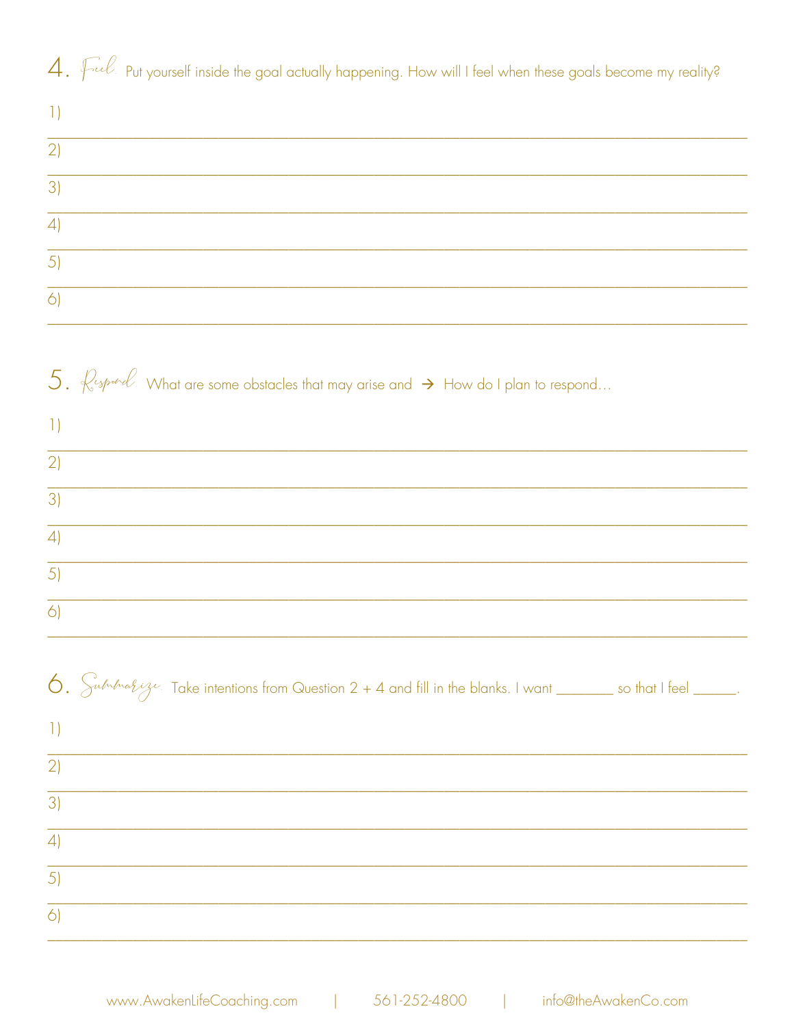## 4. Full put yourself inside the goal actually happening. How will I feel when these goals become my reality?

| $\Box$                 |                                                                                                                    |
|------------------------|--------------------------------------------------------------------------------------------------------------------|
| 2)                     |                                                                                                                    |
| $\overline{3}$         |                                                                                                                    |
| $\left 4\right $       |                                                                                                                    |
| 5)                     |                                                                                                                    |
| 6)                     |                                                                                                                    |
|                        |                                                                                                                    |
|                        | 5. $\ell$ spood. What are some obstacles that may arise and $\rightarrow$ How do I plan to respond                 |
| $\vert$ 1)             |                                                                                                                    |
| 2)                     |                                                                                                                    |
| $\overline{3}$         |                                                                                                                    |
| $\left 4\right\rangle$ |                                                                                                                    |
| $\overline{5}$         |                                                                                                                    |
| $\bigcirc$             |                                                                                                                    |
|                        |                                                                                                                    |
|                        | 6. Substracting Take intentions from Question $2 + 4$ and fill in the blanks. I want _______ so that I feel _____. |
| $\vert$ )              |                                                                                                                    |
| 2)                     |                                                                                                                    |
| $\overline{3}$         |                                                                                                                    |
| 4                      |                                                                                                                    |
| $\overline{5}$         |                                                                                                                    |
| $\overline{6}$         |                                                                                                                    |
|                        |                                                                                                                    |